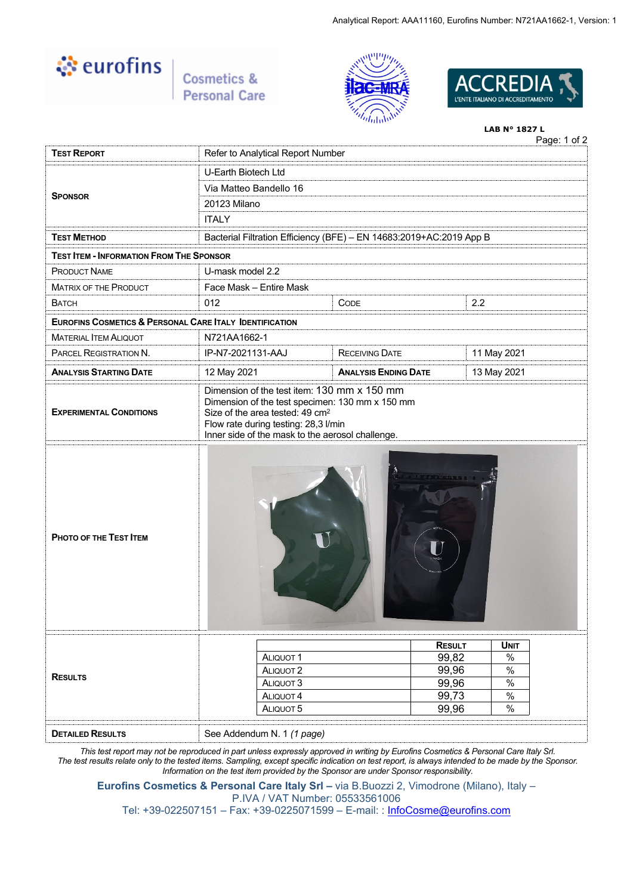

Cosmetics & **Personal Care** 





# Page: 1 of 2 **LAB N° 1827 L TEST REPORT** Refer to Analytical Report Number U-Earth Biotech Ltd Via Matteo Bandello 16 20123 Milano **SPONSOR ITALY TEST METHOD** Bacterial Filtration Efficiency (BFE) – EN 14683:2019+AC:2019 App B **TEST ITEM - INFORMATION FROM THE SPONSOR** PRODUCT NAME U-mask model 2.2 MATRIX OF THE PRODUCT Face Mask – Entire Mask BATCH 012 CODE 2.2 **EUROFINS COSMETICS & PERSONAL CARE ITALY IDENTIFICATION** MATERIAL ITEM ALIQUOT N721AA1662-1 PARCEL REGISTRATION N. IP-N7-2021131-AAJ RECEIVING DATE 11 May 2021 **ANALYSIS STARTING DATE** 12 May 2021 **ANALYSIS ENDING DATE** 13 May 2021 **EXPERIMENTAL CONDITIONS** Dimension of the test item: 130 mm x 150 mm Dimension of the test specimen: 130 mm x 150 mm Size of the area tested: 49 cm<sup>2</sup> Flow rate during testing: 28,3 l/min Inner side of the mask to the aerosol challenge. **PHOTO OF THE TEST ITEM RESULTS RESULT UNIT** ALIQUOT 1 99,82 %<br>
ALIQUOT 1 99,96 % ALIQUOT 2 99.96 ALIQUOT 3 99.96  $\,$  % ALIQUOT 4 99,73 % ALIQUOT 5 99,96 % **DETAILED RESULTS** See Addendum N. 1 *(1 page)*

*This test report may not be reproduced in part unless expressly approved in writing by Eurofins Cosmetics & Personal Care Italy Srl. The test results relate only to the tested items. Sampling, except specific indication on test report, is always intended to be made by the Sponsor. Information on the test item provided by the Sponsor are under Sponsor responsibility.*

**Eurofins Cosmetics & Personal Care Italy Srl –** via B.Buozzi 2, Vimodrone (Milano), Italy – P.IVA / VAT Number: 05533561006

Tel: +39-022507151 – Fax: +39-0225071599 – E-mail: : [InfoCosme@eurofins.com](mailto:InfoCosme@eurofins.com)